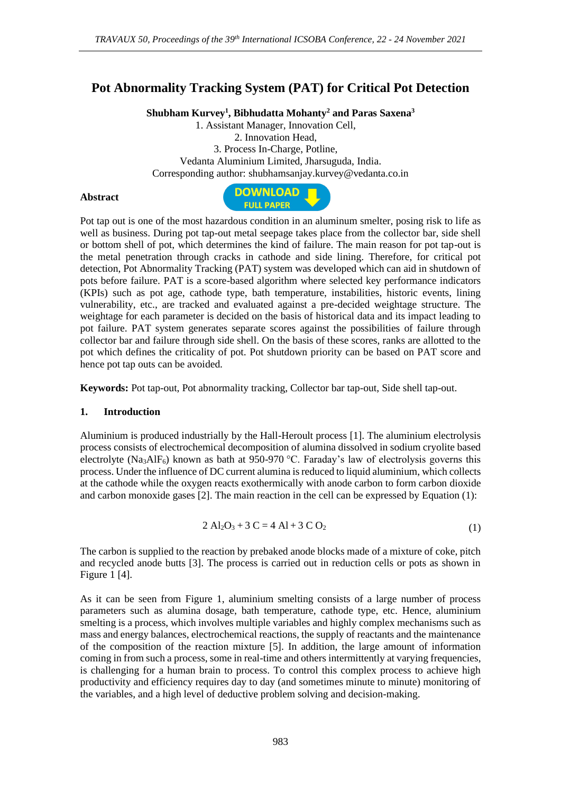# **Pot Abnormality Tracking System (PAT) for Critical Pot Detection**

**Shubham Kurvey<sup>1</sup> , Bibhudatta Mohanty<sup>2</sup> and Paras Saxena<sup>3</sup>**

1. Assistant Manager, Innovation Cell, 2. Innovation Head, 3. Process In-Charge, Potline, Vedanta Aluminium Limited, Jharsuguda, India. Corresponding author: shubhamsanjay.kurvey@vedanta.co.in

#### **Abstract**



Pot tap out is one of the most hazardous condition in an aluminum smelter, posing risk to life as well as business. During pot tap-out metal seepage takes place from the collector bar, side shell or bottom shell of pot, which determines the kind of failure. The main reason for pot tap-out is the metal penetration through cracks in cathode and side lining. Therefore, for critical pot detection, Pot Abnormality Tracking (PAT) system was developed which can aid in shutdown of pots before failure. PAT is a score-based algorithm where selected key performance indicators (KPIs) such as pot age, cathode type, bath temperature, instabilities, historic events, lining vulnerability, etc., are tracked and evaluated against a pre-decided weightage structure. The weightage for each parameter is decided on the basis of historical data and its impact leading to pot failure. PAT system generates separate scores against the possibilities of failure through collector bar and failure through side shell. On the basis of these scores, ranks are allotted to the pot which defines the criticality of pot. Pot shutdown priority can be based on PAT score and hence pot tap outs can be avoided.

**Keywords:** Pot tap-out, Pot abnormality tracking, Collector bar tap-out, Side shell tap-out.

#### **1. Introduction**

Aluminium is produced industrially by the Hall-Heroult process [1]. The aluminium electrolysis process consists of electrochemical decomposition of alumina dissolved in sodium cryolite based electrolyte (Na<sub>3</sub>AlF<sub>6</sub>) known as bath at  $950-970$  °C. Faraday's law of electrolysis governs this process. Under the influence of DC current alumina is reduced to liquid aluminium, which collects at the cathode while the oxygen reacts exothermically with anode carbon to form carbon dioxide and carbon monoxide gases [2]. The main reaction in the cell can be expressed by Equation (1):

$$
2 Al2O3 + 3 C = 4 Al + 3 C O2
$$
 (1)

The carbon is supplied to the reaction by prebaked anode blocks made of a mixture of coke, pitch and recycled anode butts [3]. The process is carried out in reduction cells or pots as shown in Figure 1 [4].

As it can be seen from Figure 1, aluminium smelting consists of a large number of process parameters such as alumina dosage, bath temperature, cathode type, etc. Hence, aluminium smelting is a process, which involves multiple variables and highly complex mechanisms such as mass and energy balances, electrochemical reactions, the supply of reactants and the maintenance of the composition of the reaction mixture [5]. In addition, the large amount of information coming in from such a process, some in real-time and others intermittently at varying frequencies, is challenging for a human brain to process. To control this complex process to achieve high productivity and efficiency requires day to day (and sometimes minute to minute) monitoring of the variables, and a high level of deductive problem solving and decision-making.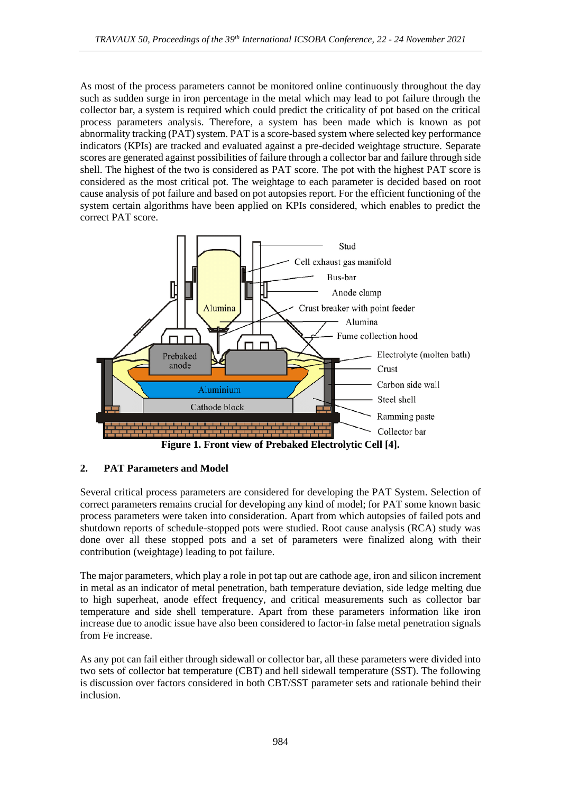As most of the process parameters cannot be monitored online continuously throughout the day such as sudden surge in iron percentage in the metal which may lead to pot failure through the collector bar, a system is required which could predict the criticality of pot based on the critical process parameters analysis. Therefore, a system has been made which is known as pot abnormality tracking (PAT) system. PAT is a score-based system where selected key performance indicators (KPIs) are tracked and evaluated against a pre-decided weightage structure. Separate scores are generated against possibilities of failure through a collector bar and failure through side shell. The highest of the two is considered as PAT score. The pot with the highest PAT score is considered as the most critical pot. The weightage to each parameter is decided based on root cause analysis of pot failure and based on pot autopsies report. For the efficient functioning of the system certain algorithms have been applied on KPIs considered, which enables to predict the correct PAT score.



**Figure 1. Front view of Prebaked Electrolytic Cell [4].**

## **2. PAT Parameters and Model**

Several critical process parameters are considered for developing the PAT System. Selection of correct parameters remains crucial for developing any kind of model; for PAT some known basic process parameters were taken into consideration. Apart from which autopsies of failed pots and shutdown reports of schedule-stopped pots were studied. Root cause analysis (RCA) study was done over all these stopped pots and a set of parameters were finalized along with their contribution (weightage) leading to pot failure.

The major parameters, which play a role in pot tap out are cathode age, iron and silicon increment in metal as an indicator of metal penetration, bath temperature deviation, side ledge melting due to high superheat, anode effect frequency, and critical measurements such as collector bar temperature and side shell temperature. Apart from these parameters information like iron increase due to anodic issue have also been considered to factor-in false metal penetration signals from Fe increase.

As any pot can fail either through sidewall or collector bar, all these parameters were divided into two sets of collector bat temperature (CBT) and hell sidewall temperature (SST). The following is discussion over factors considered in both CBT/SST parameter sets and rationale behind their inclusion.